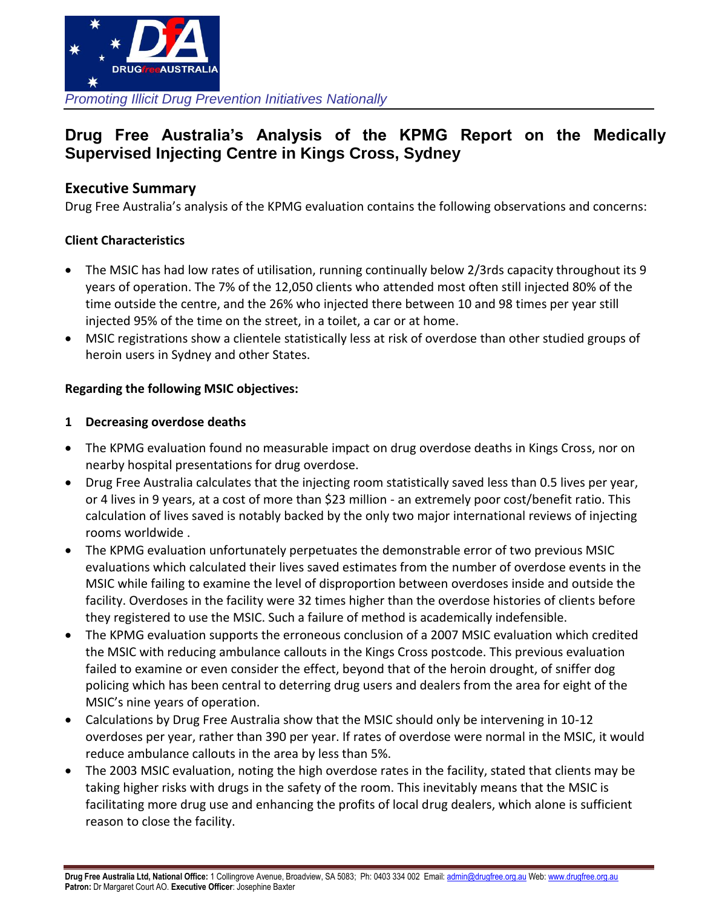

# **Drug Free Australia's Analysis of the KPMG Report on the Medically Supervised Injecting Centre in Kings Cross, Sydney**

# **Executive Summary**

Drug Free Australia's analysis of the KPMG evaluation contains the following observations and concerns:

# **Client Characteristics**

- The MSIC has had low rates of utilisation, running continually below 2/3rds capacity throughout its 9 years of operation. The 7% of the 12,050 clients who attended most often still injected 80% of the time outside the centre, and the 26% who injected there between 10 and 98 times per year still injected 95% of the time on the street, in a toilet, a car or at home.
- MSIC registrations show a clientele statistically less at risk of overdose than other studied groups of heroin users in Sydney and other States.

# **Regarding the following MSIC objectives:**

#### **1 Decreasing overdose deaths**

- The KPMG evaluation found no measurable impact on drug overdose deaths in Kings Cross, nor on nearby hospital presentations for drug overdose.
- Drug Free Australia calculates that the injecting room statistically saved less than 0.5 lives per year, or 4 lives in 9 years, at a cost of more than \$23 million - an extremely poor cost/benefit ratio. This calculation of lives saved is notably backed by the only two major international reviews of injecting rooms worldwide .
- The KPMG evaluation unfortunately perpetuates the demonstrable error of two previous MSIC evaluations which calculated their lives saved estimates from the number of overdose events in the MSIC while failing to examine the level of disproportion between overdoses inside and outside the facility. Overdoses in the facility were 32 times higher than the overdose histories of clients before they registered to use the MSIC. Such a failure of method is academically indefensible.
- The KPMG evaluation supports the erroneous conclusion of a 2007 MSIC evaluation which credited the MSIC with reducing ambulance callouts in the Kings Cross postcode. This previous evaluation failed to examine or even consider the effect, beyond that of the heroin drought, of sniffer dog policing which has been central to deterring drug users and dealers from the area for eight of the MSIC's nine years of operation.
- Calculations by Drug Free Australia show that the MSIC should only be intervening in 10-12 overdoses per year, rather than 390 per year. If rates of overdose were normal in the MSIC, it would reduce ambulance callouts in the area by less than 5%.
- The 2003 MSIC evaluation, noting the high overdose rates in the facility, stated that clients may be taking higher risks with drugs in the safety of the room. This inevitably means that the MSIC is facilitating more drug use and enhancing the profits of local drug dealers, which alone is sufficient reason to close the facility.